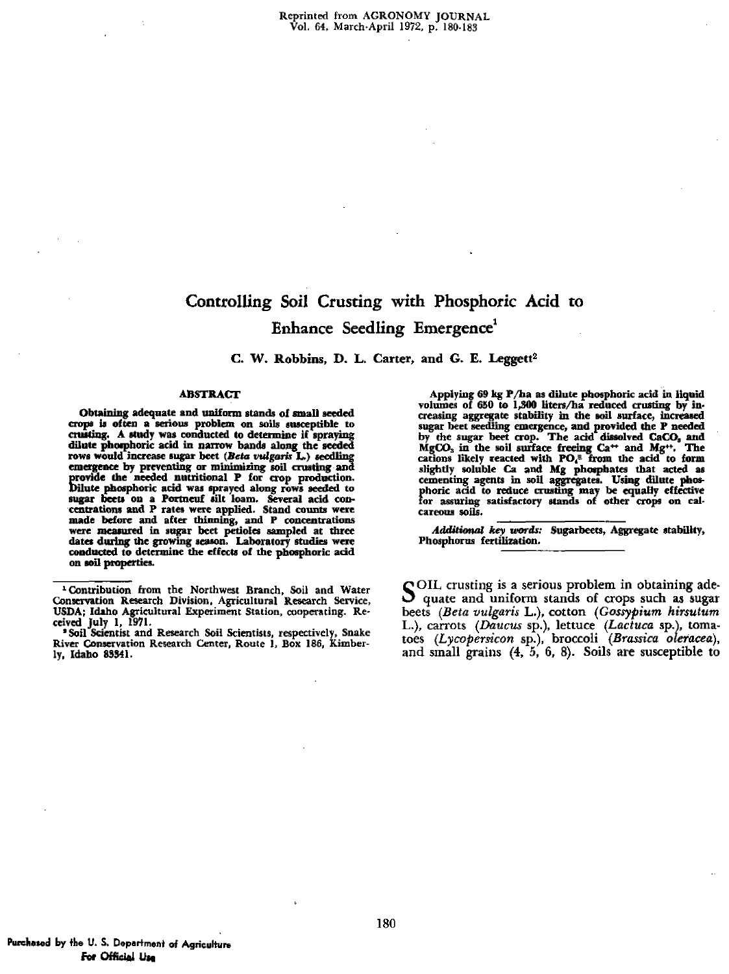# Controlling Soil Crusting with Phosphoric Acid to Enhance Seedling Emergence'

**C. W. Robbins, D. L. Carter, and G. E. Leggett2**

### ABSTRACT

Obtaining adequate and uniform stands of small seeded crops. is of ten a serious problem on soils susceptible to crusting. A study was conducted to determine if spraying dilute phosphoric acid in narrow bands along the seeded rows would increase sugar beet i *(Beta vulgaris* L.) emergence by preventing or minimizing soil crustin provide the needed nutritional P for crop production.<br>Dilute phosphoric acid was sprayed along rows seeded to sugar beets on a Portneuf silt loam. Several acid concentrations and P rates were applied. Stand counts were made before and after thinning, and P concentrations were measured in sugar beet petioles sampled at three dates during the growing season. Laboratory studies were conducted to determine the effects of the phosphoric acid on soil properties.

'Soil Scientist and Research Soil Scientists, respectively, Snake River Conservation Research Center, Route *1,* Box 186, Kimberly, Idaho 83341.

Applying 69 kg P/ha as dilute phosphoric acid in liquid volumes of 650 to 1,300 liters/ha reduced crusting by increasing aggregate stability in the soil surface, increased sugar beet seedling emergence, and provided the P needed<br>by the sugar beet crop. The acid dissolved CaCO, and<br>MgCO<sub>s</sub> in the soil surface freeing Ca<sup>++</sup> and Mg<sup>++</sup>. The MgCO<sub>3</sub> in the soil surface freeing Ca<sup>++</sup> and Mg<sup>++</sup>, The cations likely reacted with **PO**<sub>*i*</sub><sup>=</sup> from the acid to form slightly soluble Ca and Mg phosphates that acted as cementing agents in soil aggregates. Using dilute phosphoric add to reduce crusting may be equally effective for assuring satisfactory stands of other crops on calcareous soils.

*Additional key words:* Sugarbeets, Aggregate stability, Phosphorus fertilization.

SOIL crusting is a serious problem in obtaining ade-<br>S quate and uniform stands of crops such as sugar quate and uniform stands of crops such as sugar beets *(Beta vulgaris* L.), cotton *(Gossypium hirsutum L.),* carrots *(Daunts* sp.), lettuce *(Lactuca* sp.), tomatoes *(Lycopersicon* sp.), broccoli *(Brassica oleracea),* and small grains (4, 5, 6, 8). Soils are susceptible to

<sup>1</sup> Contribution from the Northwest Branch, Soil and Water Conservation Research Division, Agricultural Research Service, USDA; Idaho Agricultural Experiment Station, cooperating. Received July 1, *1971.*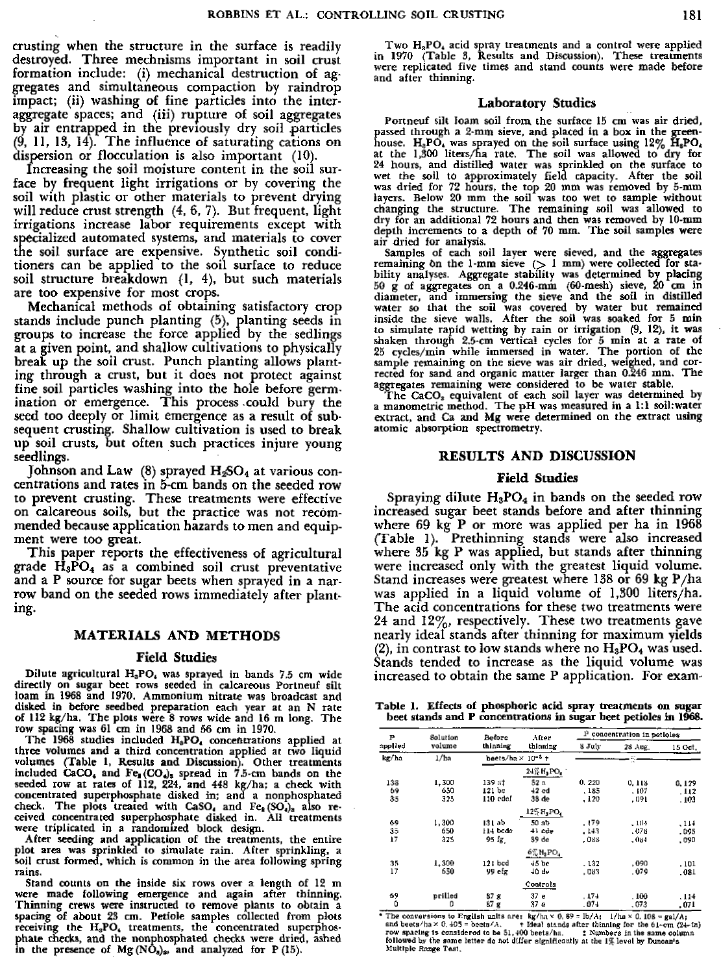crusting when the structure in the surface is readily destroyed. Three mechnisms important in soil crust formation include: (1) mechanical destruction of aggregates and simultaneous compaction by raindrop impact; (ii) washing of fine particles into the interaggregate spaces; and (iii) rupture of soil aggregates by air entrapped in the previously dry soil particles (9, 11, 13, 14). *The* influence of saturating cations on dispersion or flocculation is also important (10).

Increasing the soil moisture content in the soil surface by frequent light irrigations or by covering the soil with plastic or other materials to prevent drying will reduce crust strength  $(4, 6, 7)$ . But frequent, light irrigations increase labor requirements except with specialized automated systems, and materials to cover the soil surface are expensive. Synthetic soil conditioners can be applied to the soil surface to reduce soil structure breakdown (1, 4), but such materials are too expensive for most crops.

Mechanical methods of obtaining satisfactory crop stands include punch planting (5), planting seeds in groups to increase the force applied by the sedlings at a given point, and shallow cultivations to physically break up the soil crust. Punch planting allows planting through a crust, but it does not protect against fine soil particles washing into the hole before germination or emergence. This process .could bury the seed too deeply or limit emergence as a result of subsequent crusting. Shallow cultivation is used to break up soil crusts, but often such practices injure young seedlings.

Johnson and Law (8) sprayed H<sub>2</sub>SO<sub>4</sub> at various concentrations and rates in 5-cm bands on the seeded row to prevent crusting. These treatments were effective on calcareous soils, but the practice was not recommended because application hazards to men and equipment were too great.

This paper reports the effectiveness of agricultural grade  $H_3PO_4$  as a combined soil crust preventative and a P source for sugar beets when sprayed in a narrow band on the seeded rows immediately after planting.

### **MATERIALS AND METHODS**

#### **Field** Studies

Dilute agricultural H<sub>3</sub>PO<sub>4</sub> was sprayed in bands 7.5 cm wide directly on sugar beet rows seeded in calcareous Portneuf silt loam in 1968 and 1970. Ammonium nitrate was broadcast and disked in before seedbed preparation each year at an N rate of 112 kg/ha. The plots were 8 rows wide and 16 m long. The row spacing was 61 cm in 1968 and 56 cm in 1970.

The 1968 studies included  $H_{\delta}PO_{4}$  concentrations applied at three volumes and a third concentration applied at two liquid volumes (Table 1, Results and Discussion). Other treatments included CaCO, and Fe,  $(CO_4)$ , spread in 7.5-cm bands on the seeded row at rates of 112, 224, and 448 kg/ha; a check with concentrated superphosphate disked in; and a nonphosphated check. The plots treated with CaSO, and  $Fe<sub>2</sub>(SO<sub>4</sub>)<sub>2</sub>$  also received concentrated superphosphate disked in. All treatments *were* triplicated in a randomized block design.

After seeding and application of the treatments, the entire plot area was sprinkled to simulate rain. After sprinkling, a soil crust formed, which is common in the area following spring rains.

Stand counts on the inside six rows over a length of 12 m were made following emergence and again after thinning. Thinning crews were instructed to remove plants to obtain a spacing of about 23 cm. Petiole samples collected from plots receiving the H<sub>3</sub>PO, treatments, the concentrated superphosphate checks, and the nonphosphated checks were dried, ashed in the presence of Mg  $(N\hat{O}_n)_2$ , and analyzed for P (15).

Two H<sub>a</sub>PO, acid spray treatments and a control were applied in 1970 (Table 3, Results and Discussion). These treatments were replicated five times and stand counts were made before and after thinning.

#### Laboratory Studies

Portneuf silt loam soil from, the surface 15 cm was air dried, passed through a 2-mm sieve, and placed in a box in the greenhouse. H<sub>2</sub>PO, was sprayed on the soil surface using 12% H<sub>2</sub>PO,<br>at the 1,300 liters/ha rate. The soil was allowed to dry for 24 hours, and distilled water was sprinkled on the surface to wet the soil to approximately field capacity. After the soil was dried for 72 hours, the top 20 mm was removed by 5-mm layers. Below 20 mm the soil was too wet to sample without<br>changing the structure. The remaining soil was allowed to<br>dry for an additional 72 hours and then was removed by 10-mm<br>depth increments to a depth of 70 mm. The so air dried for analysis.

Samples of each soil layer were sieved, and the aggregates remaining on the 1-mm sieve  $(1 \text{ mm})$  were collected for stability analyses. Aggregate stability was determined by placing 50 g of aggregates on a 0.246-mm (60-mesh) sieve, 20 cm in diameter, and immersing the sieve and the soil in distilled water so that the soil was covered by water but remained inside the sieve walls. After the soil was soaked for 5 min to simulate rapid wetting by rain or irrigation (9, 12), it was shaken through 2.5-cm vertical cycles for 5 min at *a rate* of 25 cycles/min while immersed in water. The portion of the sample remaining on the sieve was air dried, weighed, and corrected for sand and organic matter larger than 0.246 mm. The aggregates remaining were considered to be water stable. The CaCO, equivalent of each soil layer was determined by

a manometric method. The pH was measured in a 1:1 soil:water extract, and Ca and Mg were determined on the extract using atomic absorption spectrometry.

## RESULTS AND DISCUSSION

#### Field Studies

Spraying dilute  $H_3PO_4$  in bands on the seeded row increased sugar beet stands before and after thinning where 69 kg P or more was applied per ha in 1968 (Table 1). Prethinning stands were also increased where 35 kg P was applied, but stands after thinning were increased only with the greatest liquid volume. Stand increases were greatest where 138 or 69 kg P/ha was applied in a liquid volume of 1,300 liters/ha. The acid concentrations for these two treatments were 24 and 12%, respectively. These two treatments gave nearly ideal stands after thinning for maximum yields (2), in contrast to low stands where no  $\rm H_3PO_4$  was used. Stands tended to increase as the liquid volume was increased to obtain the same P application. For exam-

Table 1. Effects of phosphoric acid spray treatments on sugar beet stands and P concentrations in sugar beet petioles in 1968.

| Р<br>applied | Solution | Before                               | After            | <sup>13</sup> concentration in petioles |         |         |  |
|--------------|----------|--------------------------------------|------------------|-----------------------------------------|---------|---------|--|
|              | volume   | thinning<br>thinning                 |                  | 8 July                                  | 28 Aug. | 15 Oct. |  |
| kg/ha        | 1/ha     | heets/ha $\times$ 10 <sup>-3</sup> + |                  |                                         | <br>w   |         |  |
|              |          |                                      | 24% H, PO,       |                                         |         |         |  |
| 138          | 1,300    | 139 at                               | 52 n             | 0, 220                                  | 0.118   | 0.129   |  |
| 69           | 650      | 121 be                               | $+2$ cd          | . 185                                   | .107    | . 112   |  |
| 35           | 325      | 110 edef                             | 33 de            | , 120                                   | .091    | .103    |  |
|              |          |                                      | 125 H, PO,       |                                         |         |         |  |
| 69           | 1,300    | 131 ab                               | 50 ab            | . 179                                   | $-104$  | . 114   |  |
| 35           | 650      | 114 bode                             | 41 cde           | . 143                                   | .076    | .095    |  |
| 17           | 325      | 95 fg                                | 39 de            | .088                                    | - 084   | .090    |  |
|              |          |                                      | $6\%$ $H_3$ PO,  |                                         |         |         |  |
| 35           | 1,300    | 121 bed                              | 45 <sub>bc</sub> | .132                                    | .090    | . 101   |  |
| 17           | 650      | 99 efz                               | 40 de            | .083                                    | . 079   | .081    |  |
|              |          |                                      | Controls         |                                         |         |         |  |
| 69           | prilled  | 87 <sub>5</sub>                      | 37 e             | 174                                     | . 100   | .114    |  |
| 0            | ٥        | 87 <sub>g</sub>                      | 37 e             | $.07 +$                                 | .073    | .071    |  |

\* The conversions to English units are:  $kg/ha \times 0$ , 89 =  $b/A$ ;  $1/ha \times 0$ , 103 =  $ga/A$ ; and beets  $h$  ax 0, 405 = beets A. Theal stands after thinning for the 61-cm (24-in) row spacing is considered to be 51, 400 bets/ha.  $\$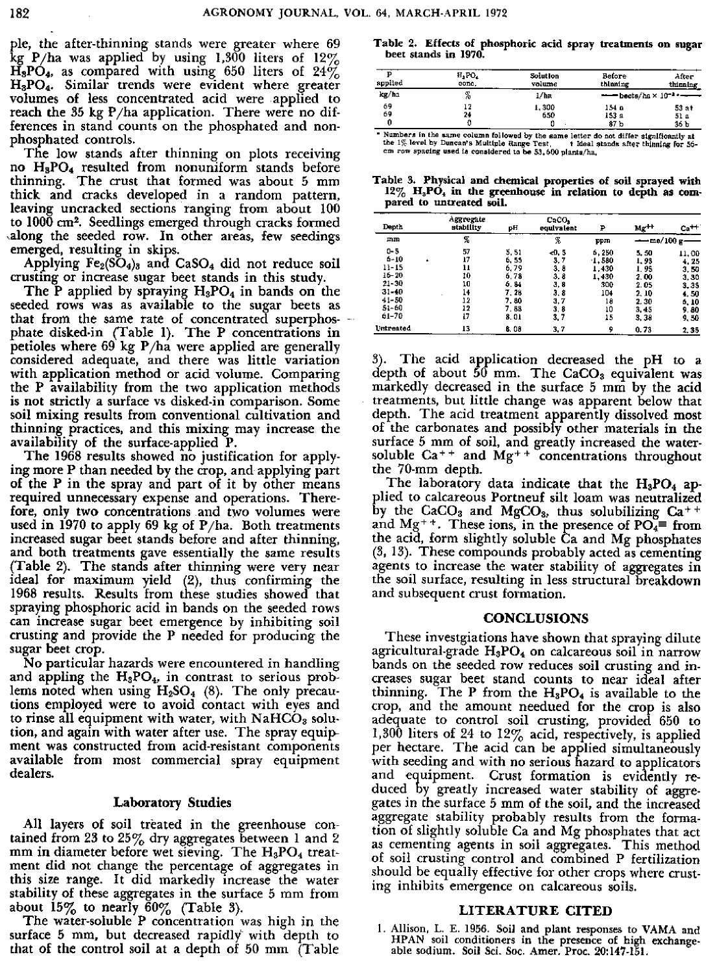pie, the after-thinning stands were greater where 69  $kg$  P/ha was applied by using 1,300 liters of 12%  $H_3PO_4$ , as compared with using 650 liters of 24% H3PO4. Similar trends were evident where greater volumes of less concentrated acid were applied to reach the 35 kg  $P/ha$  application. There were no differences in stand counts on the phosphated and nonphosphated controls.

The low stands after thinning on plots receiving no  $H_8PO_4$  resulted from nonuniform stands before thinning. The crust that formed was about 5 mm The crust that formed was about 5 mm thick and cracks developed in a random pattern, leaving uncracked sections ranging from about 100 to 1000 cm2. Seedlings emerged through cracks formed ,along the seeded row. In other areas, few seedings emerged, resulting in skips.

Applying  $Fe<sub>2</sub>(SO<sub>4</sub>)<sub>3</sub>$  and CaSO<sub>4</sub> did not reduce soil crusting or increase sugar beet stands in this study.

The P applied by spraying  $H_3PO_4$  in bands on the seeded rows was as available to the sugar beets as that from the same rate of concentrated superphosphate disked-in (Table I). The P concentrations in petioles where 69 kg P/ha were applied are generally considered adequate, and there was little variation with application method or acid volume. Comparing the P availability from the two application methods is not strictly a surface vs disked-in comparison. Some soil mixing results from conventional cultivation and thinning practices, and this mixing may increase the availability of the surface-applied P.

The 1968 results showed no justification for applying more P than needed by the crop, and applying part of the P in the spray and part of it by other means required unnecessary expense and operations. Therefore, only two concentrations and two volumes were used in 1970 to apply 69 kg of P/ha. Both **treatments** increased sugar beet stands before and after thinning, and both treatments gave essentially the same results (Table 2). The stands after thinning were very near ideal for maximum yield (2), thus confirming the 1968 results. Results from these studies showed that spraying phosphoric acid in bands on the seeded rows can increase sugar beet emergence by inhibiting soil crusting and provide the P needed for producing the sugar beet crop.

No particular hazards were encountered in handling and appling the  $H_3PO_4$ , in contrast to serious problems noted when using  $H_2SO_4$  (8). The only precautions employed were to avoid contact with eyes and to rinse all equipment with water, with  $NAHCO<sub>3</sub>$  solution, and again with water after use. The spray equipment was constructed from acid-resistant components available from most commercial spray equipment dealers.

## Laboratory Studies

All layers of soil treated in the greenhouse contained from 23 to 25 $\%$  dry aggregates between 1 and 2 mm in diameter before wet sieving. The  $H_3PO_4$  treatment did not change the percentage of aggregates in this size range. It did markedly increase the water stability of these aggregates in the surface 5 mm from about  $15\%$  to nearly  $60\%$  (Table 3).

The water-soluble P concentration was high in the surface 5 mm, but decreased rapidly with depth to that of the control soil at *a* depth of 50 mm (Table

**Table 2. Effects of phosphoric acid spray treatments an sugar beet stands in 1970.**

| spplied | $H_1PO_4$ | Solution         | Before   | After                                                                 |
|---------|-----------|------------------|----------|-----------------------------------------------------------------------|
|         | сопс.     | volume           | thinning | thinning                                                              |
| kg/ha   | z         | 1/h <sub>R</sub> |          | $\longrightarrow$ beets/ha $\times$ 10 <sup>-1</sup> $\longleftarrow$ |
| 69      | 12        | 1,300            | 154 a    | 53 at                                                                 |
| 69      | 21        | 650              | 153 a    |                                                                       |
| 0       |           |                  | 87 b     | 51 a<br>36 b                                                          |

Numbers in the same column followed by the same letter do not differ significantly at the 1% level by Duncan's Multiple dange Test. the last sands after thinning for 56-<br>cm row spacing used is considered to be 53,600 plan

**Table 3. Physical and chemical properties of soil sprayed with** 12% H<sub>3</sub>PO<sub>4</sub> in the greenhouse in relation to depth as compared to untreated soil.

| Denth                                                                                                  |   | Aggregate<br>stability                             | pН                                                                     | CaCO <sub>2</sub><br>egulvalent                                  | ₽                                                                | $Mg^{++}$                                                               | $Ca++$                                                                  |
|--------------------------------------------------------------------------------------------------------|---|----------------------------------------------------|------------------------------------------------------------------------|------------------------------------------------------------------|------------------------------------------------------------------|-------------------------------------------------------------------------|-------------------------------------------------------------------------|
| mm                                                                                                     |   | К                                                  |                                                                        | x.                                                               | ppm                                                              | $-me/100 g$ —                                                           |                                                                         |
| $0 - 5$<br>$6 - 10$<br>$11 - 15$<br>$16 - 20$<br>$21 - 30$<br>$31 - 10$<br>$41 - 50$<br>51-60<br>61-70 | ٠ | 57<br>17<br>11<br>10<br>10<br>14<br>12<br>12<br>17 | 5.51<br>6, 55<br>6.79<br>6,78<br>6.84<br>7, 28<br>7.80<br>7.88<br>8.01 | $-0.5$<br>3.7<br>3.0<br>3.8<br>3,8<br>3.8<br>3.7<br>3, 8<br>3, 7 | 6,250<br>1,580<br>1.430<br>1,430<br>300<br>104<br>18<br>10<br>15 | 5, 50<br>1.93<br>1,95<br>2.00<br>2.05<br>2, 10<br>2,30<br>3,45<br>3, 38 | 11.00<br>4.25<br>3,50<br>3,30<br>3.35<br>4,50<br>6, 10<br>9.80<br>9, 50 |
| <b>Untreated</b>                                                                                       |   | 13                                                 | 6.00                                                                   | 3.7                                                              | 9                                                                | 0.73                                                                    | 2.35                                                                    |

3). The acid application decreased the pH to a depth of about 50 mm. The  $CaCO<sub>3</sub>$  equivalent was markedly decreased in the surface 5 mm by the acid treatments, but little change was apparent below that depth. The acid treatment apparently dissolved most of the carbonates and possibly other materials in the surface 5 mm of soil, and greatly increased the watersoluble  $Ca^{++}$  and  $Mg^{++}$  concentrations throughout the 70-mm depth.

The laboratory data indicate that the  $H_3PO_4$  applied to calcareous Portneuf silt loam was neutralized by the  $CaCO<sub>3</sub>$  and  $MgCO<sub>3</sub>$ , thus solubilizing  $Ca<sup>++</sup>$ and Mg<sup>++</sup>. These ions, in the presence of PO<sub>4</sub>= from the acid, form slightly soluble Ca and Mg phosphates (3, 13). These compounds probably acted as cementing agents to increase the water stability of aggregates in the soil surface, resulting in less structural breakdown and subsequent crust formation.

# CONCLUSIONS

These investgiations have shown that spraying dilute agricultural-grade  $H_3PO_4$  on calcareous soil in narrow bands on the seeded row reduces soil crusting and increases sugar beet stand counts to near ideal after thinning. The P from the  $H_3PO_4$  is available to the crop, and the amount needued for the crop is also adequate to control soil crusting, provided 650 to 1,300 liters of 24 to  $12\%$  acid, respectively, is applied per hectare. The acid can be applied simultaneously with seeding and with no serious hazard to applicators and equipment. Crust formation is evidently reduced by greatly increased water stability of aggreallows by granty interested which stability of aggregates in the surface 5 mm of the soil, and the increased aggregate stability probably results from the formation of slightly soluble Ca and Mg phosphates that act as cementing agents in soil aggregates. This method of soil crusting control and combined P fertilization should be equally effective for other crops where crusting inhibits emergence on calcareous soils.

# LITERATURE CITED

1. Allison, L. E. 1956. Soil and plant responses to VAMA and HPAN soil conditioners in the presence of high exchangeable sodium. Soil Sci. Soc. Amer. Proc. 20:147-151.